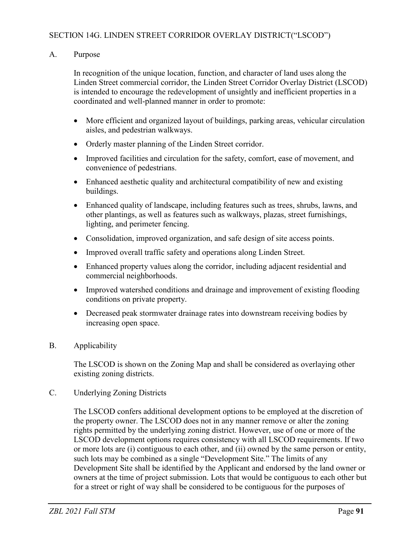## A. Purpose

In recognition of the unique location, function, and character of land uses along the Linden Street commercial corridor, the Linden Street Corridor Overlay District (LSCOD) is intended to encourage the redevelopment of unsightly and inefficient properties in a coordinated and well-planned manner in order to promote:

- More efficient and organized layout of buildings, parking areas, vehicular circulation aisles, and pedestrian walkways.
- Orderly master planning of the Linden Street corridor.
- Improved facilities and circulation for the safety, comfort, ease of movement, and convenience of pedestrians.
- Enhanced aesthetic quality and architectural compatibility of new and existing buildings.
- Enhanced quality of landscape, including features such as trees, shrubs, lawns, and other plantings, as well as features such as walkways, plazas, street furnishings, lighting, and perimeter fencing.
- Consolidation, improved organization, and safe design of site access points.
- Improved overall traffic safety and operations along Linden Street.
- Enhanced property values along the corridor, including adjacent residential and commercial neighborhoods.
- Improved watershed conditions and drainage and improvement of existing flooding conditions on private property.
- Decreased peak stormwater drainage rates into downstream receiving bodies by increasing open space.

# B. Applicability

The LSCOD is shown on the Zoning Map and shall be considered as overlaying other existing zoning districts.

C. Underlying Zoning Districts

The LSCOD confers additional development options to be employed at the discretion of the property owner. The LSCOD does not in any manner remove or alter the zoning rights permitted by the underlying zoning district. However, use of one or more of the LSCOD development options requires consistency with all LSCOD requirements. If two or more lots are (i) contiguous to each other, and (ii) owned by the same person or entity, such lots may be combined as a single "Development Site." The limits of any Development Site shall be identified by the Applicant and endorsed by the land owner or owners at the time of project submission. Lots that would be contiguous to each other but for a street or right of way shall be considered to be contiguous for the purposes of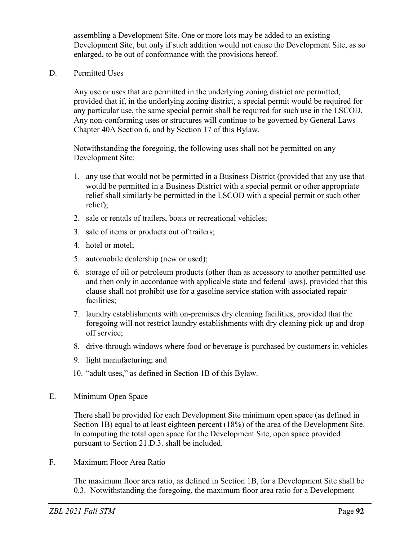assembling a Development Site. One or more lots may be added to an existing Development Site, but only if such addition would not cause the Development Site, as so enlarged, to be out of conformance with the provisions hereof.

D. Permitted Uses

Any use or uses that are permitted in the underlying zoning district are permitted, provided that if, in the underlying zoning district, a special permit would be required for any particular use, the same special permit shall be required for such use in the LSCOD. Any non-conforming uses or structures will continue to be governed by General Laws Chapter 40A Section 6, and by Section 17 of this Bylaw.

Notwithstanding the foregoing, the following uses shall not be permitted on any Development Site:

- 1. any use that would not be permitted in a Business District (provided that any use that would be permitted in a Business District with a special permit or other appropriate relief shall similarly be permitted in the LSCOD with a special permit or such other relief);
- 2. sale or rentals of trailers, boats or recreational vehicles;
- 3. sale of items or products out of trailers;
- 4. hotel or motel;
- 5. automobile dealership (new or used);
- 6. storage of oil or petroleum products (other than as accessory to another permitted use and then only in accordance with applicable state and federal laws), provided that this clause shall not prohibit use for a gasoline service station with associated repair facilities;
- 7. laundry establishments with on-premises dry cleaning facilities, provided that the foregoing will not restrict laundry establishments with dry cleaning pick-up and dropoff service;
- 8. drive-through windows where food or beverage is purchased by customers in vehicles
- 9. light manufacturing; and
- 10. "adult uses," as defined in Section 1B of this Bylaw.
- E. Minimum Open Space

There shall be provided for each Development Site minimum open space (as defined in Section 1B) equal to at least eighteen percent (18%) of the area of the Development Site. In computing the total open space for the Development Site, open space provided pursuant to Section 21.D.3. shall be included.

F. Maximum Floor Area Ratio

The maximum floor area ratio, as defined in Section 1B, for a Development Site shall be 0.3. Notwithstanding the foregoing, the maximum floor area ratio for a Development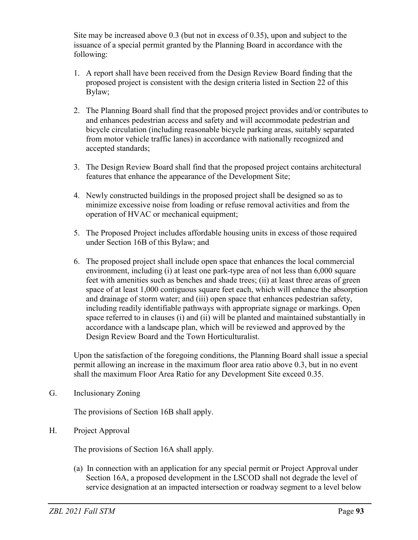Site may be increased above 0.3 (but not in excess of 0.35), upon and subject to the issuance of a special permit granted by the Planning Board in accordance with the following:

- 1. A report shall have been received from the Design Review Board finding that the proposed project is consistent with the design criteria listed in Section 22 of this Bylaw;
- 2. The Planning Board shall find that the proposed project provides and/or contributes to and enhances pedestrian access and safety and will accommodate pedestrian and bicycle circulation (including reasonable bicycle parking areas, suitably separated from motor vehicle traffic lanes) in accordance with nationally recognized and accepted standards;
- 3. The Design Review Board shall find that the proposed project contains architectural features that enhance the appearance of the Development Site;
- 4. Newly constructed buildings in the proposed project shall be designed so as to minimize excessive noise from loading or refuse removal activities and from the operation of HVAC or mechanical equipment;
- 5. The Proposed Project includes affordable housing units in excess of those required under Section 16B of this Bylaw; and
- 6. The proposed project shall include open space that enhances the local commercial environment, including (i) at least one park-type area of not less than 6,000 square feet with amenities such as benches and shade trees; (ii) at least three areas of green space of at least 1,000 contiguous square feet each, which will enhance the absorption and drainage of storm water; and (iii) open space that enhances pedestrian safety, including readily identifiable pathways with appropriate signage or markings. Open space referred to in clauses (i) and (ii) will be planted and maintained substantially in accordance with a landscape plan, which will be reviewed and approved by the Design Review Board and the Town Horticulturalist.

Upon the satisfaction of the foregoing conditions, the Planning Board shall issue a special permit allowing an increase in the maximum floor area ratio above 0.3, but in no event shall the maximum Floor Area Ratio for any Development Site exceed 0.35.

G. Inclusionary Zoning

The provisions of Section 16B shall apply.

H. Project Approval

The provisions of Section 16A shall apply.

(a) In connection with an application for any special permit or Project Approval under Section 16A, a proposed development in the LSCOD shall not degrade the level of service designation at an impacted intersection or roadway segment to a level below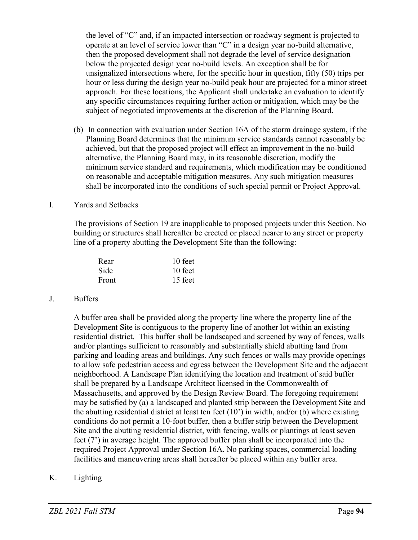the level of "C" and, if an impacted intersection or roadway segment is projected to operate at an level of service lower than "C" in a design year no-build alternative, then the proposed development shall not degrade the level of service designation below the projected design year no-build levels. An exception shall be for unsignalized intersections where, for the specific hour in question, fifty (50) trips per hour or less during the design year no-build peak hour are projected for a minor street approach. For these locations, the Applicant shall undertake an evaluation to identify any specific circumstances requiring further action or mitigation, which may be the subject of negotiated improvements at the discretion of the Planning Board.

(b) In connection with evaluation under Section 16A of the storm drainage system, if the Planning Board determines that the minimum service standards cannot reasonably be achieved, but that the proposed project will effect an improvement in the no-build alternative, the Planning Board may, in its reasonable discretion, modify the minimum service standard and requirements, which modification may be conditioned on reasonable and acceptable mitigation measures. Any such mitigation measures shall be incorporated into the conditions of such special permit or Project Approval.

#### I. Yards and Setbacks

The provisions of Section 19 are inapplicable to proposed projects under this Section. No building or structures shall hereafter be erected or placed nearer to any street or property line of a property abutting the Development Site than the following:

| Rear  | 10 feet |
|-------|---------|
| Side  | 10 feet |
| Front | 15 feet |

## J. Buffers

A buffer area shall be provided along the property line where the property line of the Development Site is contiguous to the property line of another lot within an existing residential district. This buffer shall be landscaped and screened by way of fences, walls and/or plantings sufficient to reasonably and substantially shield abutting land from parking and loading areas and buildings. Any such fences or walls may provide openings to allow safe pedestrian access and egress between the Development Site and the adjacent neighborhood. A Landscape Plan identifying the location and treatment of said buffer shall be prepared by a Landscape Architect licensed in the Commonwealth of Massachusetts, and approved by the Design Review Board. The foregoing requirement may be satisfied by (a) a landscaped and planted strip between the Development Site and the abutting residential district at least ten feet (10') in width, and/or (b) where existing conditions do not permit a 10-foot buffer, then a buffer strip between the Development Site and the abutting residential district, with fencing, walls or plantings at least seven feet (7') in average height. The approved buffer plan shall be incorporated into the required Project Approval under Section 16A. No parking spaces, commercial loading facilities and maneuvering areas shall hereafter be placed within any buffer area.

## K. Lighting